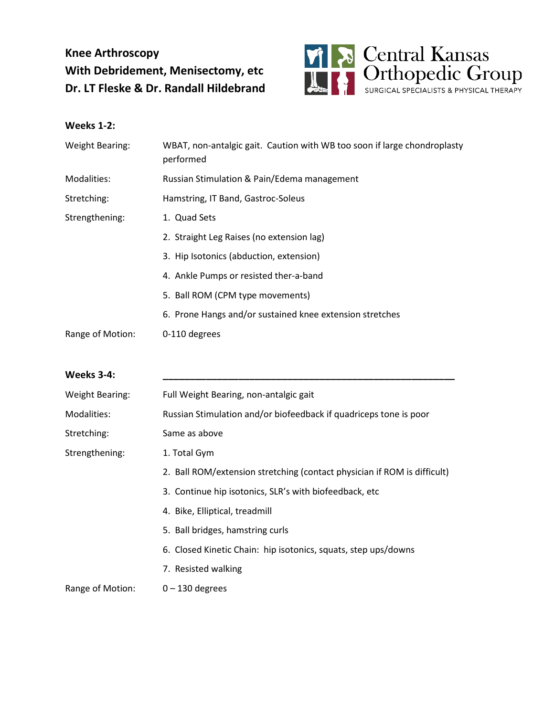## **Knee Arthroscopy With Debridement, Menisectomy, etc Dr. LT Fleske & Dr. Randall Hildebrand**



## **Weeks 1-2:**

| WBAT, non-antalgic gait. Caution with WB too soon if large chondroplasty<br>performed |
|---------------------------------------------------------------------------------------|
| Russian Stimulation & Pain/Edema management                                           |
| Hamstring, IT Band, Gastroc-Soleus                                                    |
| 1. Quad Sets                                                                          |
| 2. Straight Leg Raises (no extension lag)                                             |
| 3. Hip Isotonics (abduction, extension)                                               |
| 4. Ankle Pumps or resisted ther-a-band                                                |
| 5. Ball ROM (CPM type movements)                                                      |
| 6. Prone Hangs and/or sustained knee extension stretches                              |
| 0-110 degrees                                                                         |
|                                                                                       |

| <b>Weeks 3-4:</b>      |                                                                          |
|------------------------|--------------------------------------------------------------------------|
| <b>Weight Bearing:</b> | Full Weight Bearing, non-antalgic gait                                   |
| Modalities:            | Russian Stimulation and/or biofeedback if quadriceps tone is poor        |
| Stretching:            | Same as above                                                            |
| Strengthening:         | 1. Total Gym                                                             |
|                        | 2. Ball ROM/extension stretching (contact physician if ROM is difficult) |
|                        | 3. Continue hip isotonics, SLR's with biofeedback, etc                   |
|                        | 4. Bike, Elliptical, treadmill                                           |
|                        | 5. Ball bridges, hamstring curls                                         |
|                        | 6. Closed Kinetic Chain: hip isotonics, squats, step ups/downs           |
|                        | 7. Resisted walking                                                      |
| Range of Motion:       | $0 - 130$ degrees                                                        |